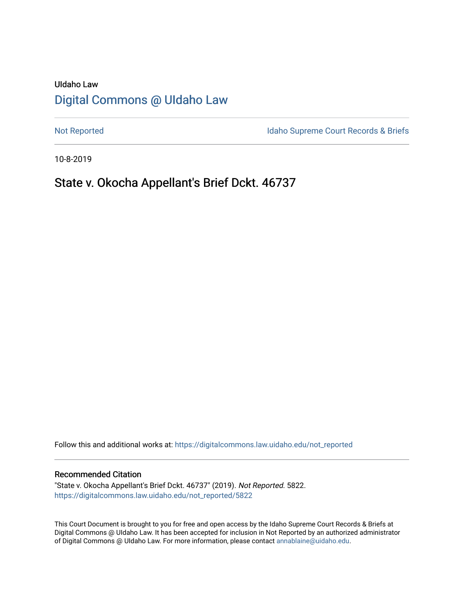# UIdaho Law [Digital Commons @ UIdaho Law](https://digitalcommons.law.uidaho.edu/)

[Not Reported](https://digitalcommons.law.uidaho.edu/not_reported) **Idaho Supreme Court Records & Briefs** 

10-8-2019

# State v. Okocha Appellant's Brief Dckt. 46737

Follow this and additional works at: [https://digitalcommons.law.uidaho.edu/not\\_reported](https://digitalcommons.law.uidaho.edu/not_reported?utm_source=digitalcommons.law.uidaho.edu%2Fnot_reported%2F5822&utm_medium=PDF&utm_campaign=PDFCoverPages) 

#### Recommended Citation

"State v. Okocha Appellant's Brief Dckt. 46737" (2019). Not Reported. 5822. [https://digitalcommons.law.uidaho.edu/not\\_reported/5822](https://digitalcommons.law.uidaho.edu/not_reported/5822?utm_source=digitalcommons.law.uidaho.edu%2Fnot_reported%2F5822&utm_medium=PDF&utm_campaign=PDFCoverPages)

This Court Document is brought to you for free and open access by the Idaho Supreme Court Records & Briefs at Digital Commons @ UIdaho Law. It has been accepted for inclusion in Not Reported by an authorized administrator of Digital Commons @ UIdaho Law. For more information, please contact [annablaine@uidaho.edu](mailto:annablaine@uidaho.edu).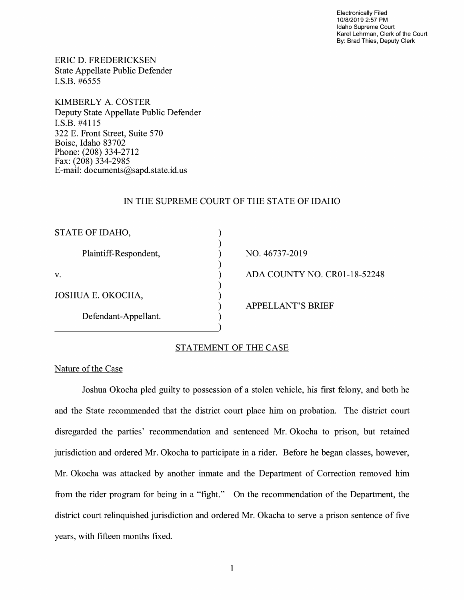Electronically Filed 10/8/2019 2:57 PM Idaho Supreme Court Karel Lehrman, Clerk of the Court By: Brad Thies, Deputy Clerk

ERIC D. FREDERICKSEN State Appellate Public Defender I.S.B. #6555

KIMBERLY A. COSTER Deputy State Appellate Public Defender I.S.B. #4115 322 E. Front Street, Suite 570 Boise, Idaho 83702 Phone: (208) 334-2712 Fax: (208) 334-2985 E-mail: documents@sapd.state.id. us

### IN THE SUPREME COURT OF THE STATE OF IDAHO

) ) ) ) ) ) ) ) )

| STATE OF IDAHO,       |
|-----------------------|
| Plaintiff-Respondent, |
| V.                    |
| JOSHUA E. OKOCHA,     |
| Defendant-Appellant.  |

NO. 46737-2019 ADA COUNTY NO. CR0l-18-52248 APPELLANT'S BRIEF

### STATEMENT OF THE CASE

#### Nature of the Case

Joshua Okocha pied guilty to possession of a stolen vehicle, his first felony, and both he and the State recommended that the district court place him on probation. The district court disregarded the parties' recommendation and sentenced Mr. Okocha to prison, but retained jurisdiction and ordered Mr. Okocha to participate in a rider. Before he began classes, however, Mr. Okocha was attacked by another inmate and the Department of Correction removed him from the rider program for being in a "fight." On the recommendation of the Department, the district court relinquished jurisdiction and ordered Mr. Okacha to serve a prison sentence of five years, with fifteen months fixed.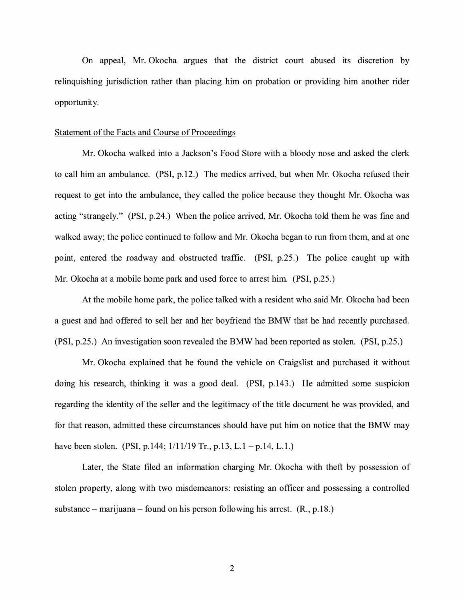On appeal, Mr. Okocha argues that the district court abused its discretion by relinquishing jurisdiction rather than placing him on probation or providing him another rider opportunity.

#### Statement of the Facts and Course of Proceedings

Mr. Okocha walked into a Jackson's Food Store with a bloody nose and asked the clerk to call him an ambulance. (PSI, p.12.) The medics arrived, but when Mr. Okocha refused their request to get into the ambulance, they called the police because they thought Mr. Okocha was acting "strangely." (PSI, p.24.) When the police arrived, Mr. Okocha told them he was fine and walked away; the police continued to follow and Mr. Okocha began to run from them, and at one point, entered the roadway and obstructed traffic. (PSI, p.25.) The police caught up with Mr. Okocha at a mobile home park and used force to arrest him. (PSI, p.25.)

At the mobile home park, the police talked with a resident who said Mr. Okocha had been a guest and had offered to sell her and her boyfriend the BMW that he had recently purchased. (PSI, p.25.) An investigation soon revealed the BMW had been reported as stolen. (PSI, p.25.)

Mr. Okocha explained that he found the vehicle on Craigslist and purchased it without doing his research, thinking it was a good deal. (PSI, p.143.) He admitted some suspicion regarding the identity of the seller and the legitimacy of the title document he was provided, and for that reason, admitted these circumstances should have put him on notice that the BMW may have been stolen. (PSI, p.144; 1/11/19 Tr., p.13, L.1 – p.14, L.1.)

Later, the State filed an information charging Mr. Okocha with theft by possession of stolen property, along with two misdemeanors: resisting an officer and possessing a controlled substance – marijuana – found on his person following his arrest.  $(R., p.18.)$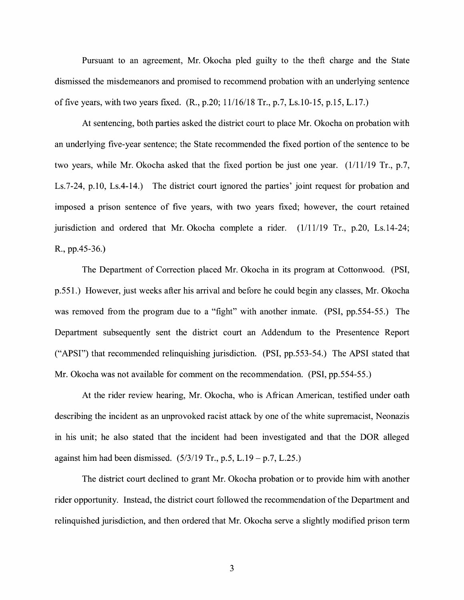Pursuant to an agreement, Mr. Okocha pled guilty to the theft charge and the State dismissed the misdemeanors and promised to recommend probation with an underlying sentence of five years, with two years fixed. (R., p.20; 11/16/18 Tr., p.7, Ls.10-15, p.15, L.17.)

At sentencing, both parties asked the district court to place Mr. Okocha on probation with an underlying five-year sentence; the State recommended the fixed portion of the sentence to be two years, while Mr. Okocha asked that the fixed portion be just one year. (1/11/19 Tr., p.7, Ls.7-24, p.10, Ls.4-14.) The district court ignored the parties' joint request for probation and imposed a prison sentence of five years, with two years fixed; however, the court retained jurisdiction and ordered that Mr. Okocha complete a rider. (1/11/19 Tr., p.20, Ls.14-24; R., pp.45-36.)

The Department of Correction placed Mr. Okocha in its program at Cottonwood. (PSI, p.551.) However, just weeks after his arrival and before he could begin any classes, Mr. Okocha was removed from the program due to a "fight" with another inmate. (PSI, pp.554-55.) The Department subsequently sent the district court an Addendum to the Presentence Report ("APSI") that recommended relinquishing jurisdiction. (PSI, pp.553-54.) The APSI stated that Mr. Okocha was not available for comment on the recommendation. (PSI, pp.554-55.)

At the rider review hearing, Mr. Okocha, who is African American, testified under oath describing the incident as an unprovoked racist attack by one of the white supremacist, Neonazis in his unit; he also stated that the incident had been investigated and that the DOR alleged against him had been dismissed.  $(5/3/19 \text{ Tr.}, p.5, L.19 - p.7, L.25.)$ 

The district court declined to grant Mr. Okocha probation or to provide him with another rider opportunity. Instead, the district court followed the recommendation of the Department and relinquished jurisdiction, and then ordered that Mr. Okocha serve a slightly modified prison term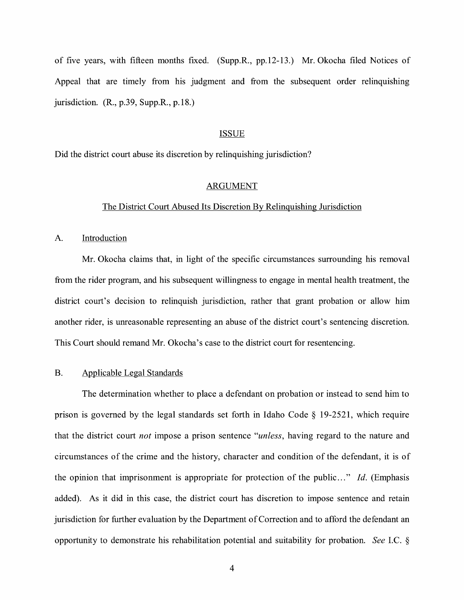of five years, with fifteen months fixed. (Supp.R., pp.12-13.) Mr. Okocha filed Notices of Appeal that are timely from his judgment and from the subsequent order relinquishing jurisdiction. (R., p.39, Supp.R., p.18.)

#### ISSUE

Did the district court abuse its discretion by relinquishing jurisdiction?

#### ARGUMENT

#### The District Court Abused Its Discretion By Relinquishing Jurisdiction

A. Introduction

Mr. Okocha claims that, in light of the specific circumstances surrounding his removal from the rider program, and his subsequent willingness to engage in mental health treatment, the district court's decision to relinquish jurisdiction, rather that grant probation or allow him another rider, is unreasonable representing an abuse of the district court's sentencing discretion. This Court should remand Mr. Okocha's case to the district court for resentencing.

#### B. Applicable Legal Standards

The determination whether to place a defendant on probation or instead to send him to prison is governed by the legal standards set forth in Idaho Code § 19-2521, which require that the district court *not* impose a prison sentence *"unless,* having regard to the nature and circumstances of the crime and the history, character and condition of the defendant, it is of the opinion that imprisonment is appropriate for protection of the public ... " *Id.* (Emphasis added). As it did in this case, the district court has discretion to impose sentence and retain jurisdiction for further evaluation by the Department of Correction and to afford the defendant an opportunity to demonstrate his rehabilitation potential and suitability for probation. *See* I.C. §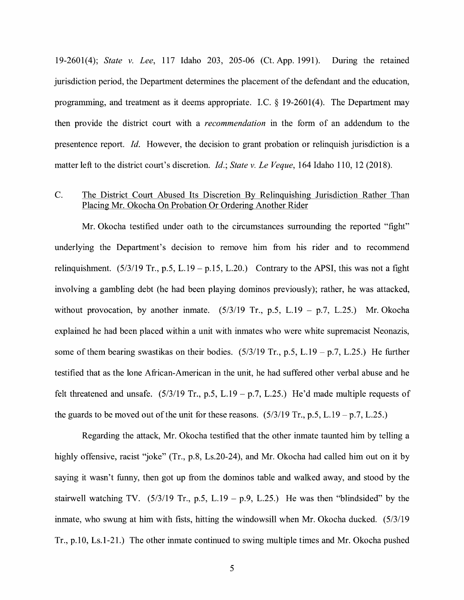19-2601(4); *State v. Lee,* 117 Idaho 203, 205-06 (Ct. App. 1991). During the retained jurisdiction period, the Department determines the placement of the defendant and the education, programming, and treatment as it deems appropriate. I.C.  $\S$  19-2601(4). The Department may then provide the district court with a *recommendation* in the form of an addendum to the presentence report. *Id.* However, the decision to grant probation or relinquish jurisdiction is a matter left to the district court's discretion. *Id.; State v. Le Veque,* 164 Idaho 110, 12 (2018).

## C. The District Court Abused Its Discretion By Relinquishing Jurisdiction Rather Than Placing Mr. Okocha On Probation Or Ordering Another Rider

Mr. Okocha testified under oath to the circumstances surrounding the reported "fight" underlying the Department's decision to remove him from his rider and to recommend relinquishment.  $(5/3/19$  Tr., p.5, L.19 - p.15, L.20.) Contrary to the APSI, this was not a fight involving a gambling debt (he had been playing dominos previously); rather, he was attacked, without provocation, by another inmate.  $(5/3/19$  Tr., p.5, L.19 - p.7, L.25.) Mr. Okocha explained he had been placed within a unit with inmates who were white supremacist Neonazis, some of them bearing swastikas on their bodies.  $(5/3/19 \text{ Tr}, p.5, L.19 - p.7, L.25)$  He further testified that as the lone African-American in the unit, he had suffered other verbal abuse and he felt threatened and unsafe.  $(5/3/19 \text{ Tr.}, \text{p.5}, \text{L.19} - \text{p.7}, \text{L.25.})$  He'd made multiple requests of the guards to be moved out of the unit for these reasons.  $(5/3/19 \text{ Tr}, p.5, L.19 - p.7, L.25)$ 

Regarding the attack, Mr. Okocha testified that the other inmate taunted him by telling a highly offensive, racist "joke" (Tr., p.8, Ls.20-24), and Mr. Okocha had called him out on it by saying it wasn't funny, then got up from the dominos table and walked away, and stood by the stairwell watching TV.  $(5/3/19$  Tr., p.5, L.19 – p.9, L.25.) He was then "blindsided" by the inmate, who swung at him with fists, hitting the windowsill when Mr. Okocha ducked. (5/3/19 Tr., p.10, Ls.1-21.) The other inmate continued to swing multiple times and Mr. Okocha pushed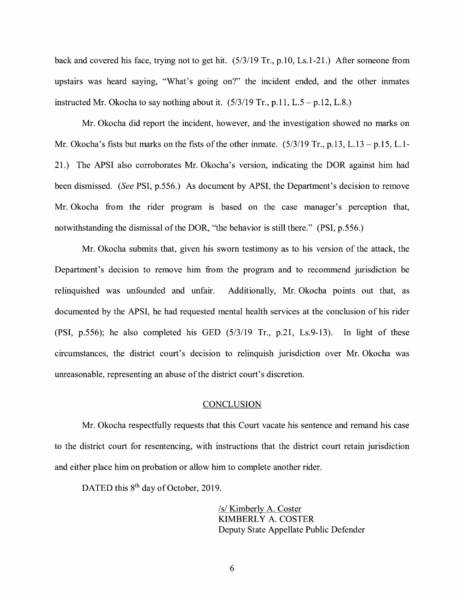back and covered his face, trying not to get hit. (5/3/19 Tr., p.10, Ls.1-21.) After someone from upstairs was heard saying, "What's going on?" the incident ended, and the other inmates instructed Mr. Okocha to say nothing about it.  $(5/3/19 \text{ Tr}, p.11, L.5 - p.12, L.8.)$ 

Mr. Okocha did report the incident, however, and the investigation showed no marks on Mr. Okocha's fists but marks on the fists of the other inmate.  $(5/3/19$  Tr., p.13, L.13 - p.15, L.1-21.) The APSI also corroborates Mr. Okocha's version, indicating the DOR against him had been dismissed. *(See* PSI, p.556.) As document by APSI, the Department's decision to remove Mr. Okocha from the rider program is based on the case manager's perception that, notwithstanding the dismissal of the DOR, "the behavior is still there." (PSI, p.556.)

Mr. Okocha submits that, given his sworn testimony as to his version of the attack, the Department's decision to remove him from the program and to recommend jurisdiction be relinquished was unfounded and unfair. Additionally, Mr. Okocha points out that, as documented by the APSI, he had requested mental health services at the conclusion of his rider **(PSI,** p.556); he also completed his GED (5/3/19 Tr., p.21, Ls.9-13). In light of these circumstances, the district court's decision to relinquish jurisdiction over Mr. Okocha was unreasonable, representing an abuse of the district court's discretion.

#### **CONCLUSION**

Mr. Okocha respectfully requests that this Court vacate his sentence and remand his case to the district court for resentencing, with instructions that the district court retain jurisdiction and either place him on probation or allow him to complete another rider.

DATED this 8<sup>th</sup> day of October, 2019.

/s/ Kimberly A. Coster KIMBERLY A. COSTER Deputy State Appellate Public Defender

6